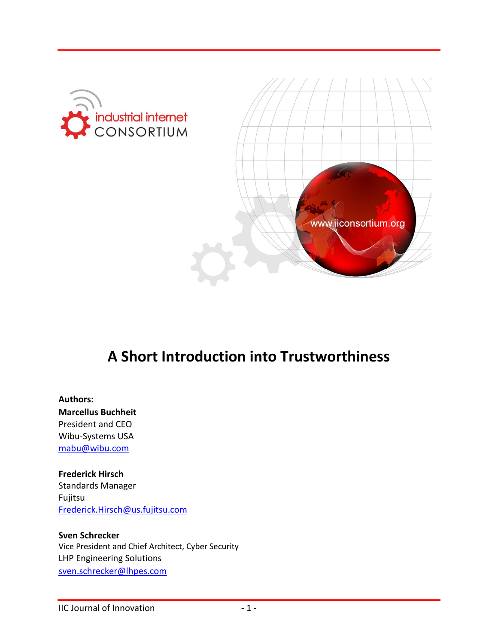



# **A Short Introduction into Trustworthiness**

### **Authors: Marcellus Buchheit** President and CEO Wibu-Systems USA [mabu@wibu.com](mailto:mabu@wibu.com)

#### **Frederick Hirsch**

Standards Manager Fujitsu [Frederick.Hirsch@us.fujitsu.com](mailto:Frederick.Hirsch@us.fujitsu.com)

#### **Sven Schrecker** Vice President and Chief Architect, Cyber Security LHP Engineering Solutions

[sven.schrecker@lhpes.com](mailto:sven.schrecker@lhpes.com)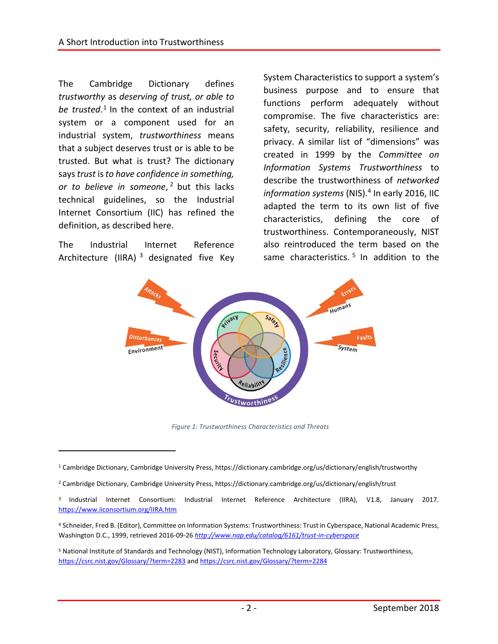The Cambridge Dictionary defines *trustworthy* as *deserving of trust, or able to*  be trusted.<sup>1</sup> In the context of an industrial system or a component used for an industrial system, *trustworthiness* means that a subject deserves trust or is able to be trusted. But what is trust? The dictionary says*trust* is *to have confidence in something, or to believe in someone*, <sup>2</sup> but this lacks technical guidelines, so the Industrial Internet Consortium (IIC) has refined the definition, as described here.

The Industrial Internet Reference Architecture (IIRA)<sup>3</sup> designated five Key

 $\overline{a}$ 

System Characteristics to support a system's business purpose and to ensure that functions perform adequately without compromise. The five characteristics are: safety, security, reliability, resilience and privacy. A similar list of "dimensions" was created in 1999 by the *Committee on Information Systems Trustworthiness* to describe the trustworthiness of *networked*  information systems (NIS).<sup>4</sup> In early 2016, IIC adapted the term to its own list of five characteristics, defining the core of trustworthiness. Contemporaneously, NIST also reintroduced the term based on the same characteristics.<sup>5</sup> In addition to the



*Figure 1: Trustworthiness Characteristics and Threats*

<sup>1</sup> Cambridge Dictionary, Cambridge University Press, https://dictionary.cambridge.org/us/dictionary/english/trustworthy

<sup>2</sup> Cambridge Dictionary, Cambridge University Press, https://dictionary.cambridge.org/us/dictionary/english/trust

<sup>3</sup> Industrial Internet Consortium: Industrial Internet Reference Architecture (IIRA), V1.8, January 2017. <https://www.iiconsortium.org/IIRA.htm>

<sup>4</sup> Schneider, Fred B. (Editor), Committee on Information Systems: Trustworthiness: Trust in Cyberspace, National Academic Press, Washington D.C., 1999, retrieved 2016-09-26 *<http://www.nap.edu/catalog/6161/trust-in-cyberspace>*

<sup>5</sup> National Institute of Standards and Technology (NIST), Information Technology Laboratory, Glossary: Trustworthiness, <https://csrc.nist.gov/Glossary/?term=2283> an[d https://csrc.nist.gov/Glossary/?term=2284](https://csrc.nist.gov/Glossary/?term=2284)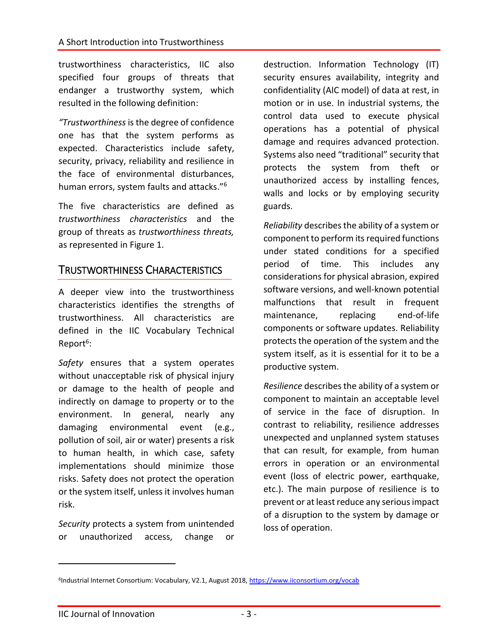trustworthiness characteristics, IIC also specified four groups of threats that endanger a trustworthy system, which resulted in the following definition:

*"Trustworthiness* is the degree of confidence one has that the system performs as expected. Characteristics include safety, security, privacy, reliability and resilience in the face of environmental disturbances, human errors, system faults and attacks." 6

The five characteristics are defined as *trustworthiness characteristics* and the group of threats as *trustworthiness threats,*  as represented in Figure 1.

### TRUSTWORTHINESS CHARACTERISTICS

A deeper view into the trustworthiness characteristics identifies the strengths of trustworthiness. All characteristics are defined in the IIC Vocabulary Technical Report<sup>6</sup>:

*Safety* ensures that a system operates without unacceptable risk of physical injury or damage to the health of people and indirectly on damage to property or to the environment. In general, nearly any damaging environmental event (e.g., pollution of soil, air or water) presents a risk to human health, in which case, safety implementations should minimize those risks. Safety does not protect the operation or the system itself, unless it involves human risk.

*Security* protects a system from unintended or unauthorized access, change or

destruction. Information Technology (IT) security ensures availability, integrity and confidentiality (AIC model) of data at rest, in motion or in use. In industrial systems, the control data used to execute physical operations has a potential of physical damage and requires advanced protection. Systems also need "traditional" security that protects the system from theft or unauthorized access by installing fences, walls and locks or by employing security guards.

*Reliability* describes the ability of a system or component to perform its required functions under stated conditions for a specified period of time. This includes any considerations for physical abrasion, expired software versions, and well-known potential malfunctions that result in frequent maintenance, replacing end-of-life components or software updates. Reliability protects the operation of the system and the system itself, as it is essential for it to be a productive system.

*Resilience* describes the ability of a system or component to maintain an acceptable level of service in the face of disruption. In contrast to reliability, resilience addresses unexpected and unplanned system statuses that can result, for example, from human errors in operation or an environmental event (loss of electric power, earthquake, etc.). The main purpose of resilience is to prevent or at least reduce any serious impact of a disruption to the system by damage or loss of operation.

 $\overline{a}$ 

<sup>&</sup>lt;sup>6</sup>Industrial Internet Consortium: Vocabulary, V2.1, August 2018[, https://www.iiconsortium.org/vocab](https://www.iiconsortium.org/vocab)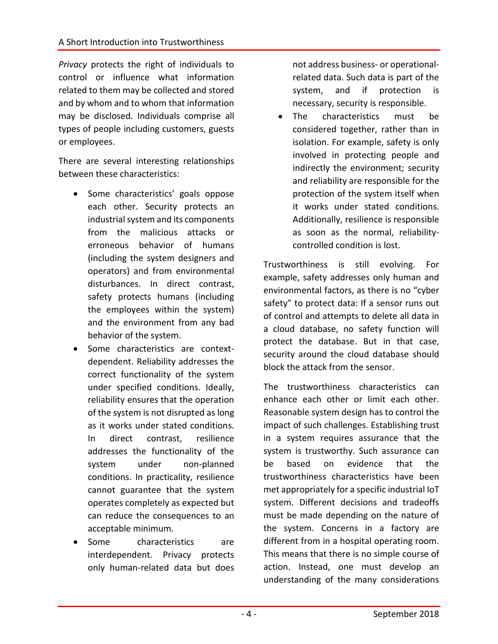*Privacy* protects the right of individuals to control or influence what information related to them may be collected and stored and by whom and to whom that information may be disclosed. Individuals comprise all types of people including customers, guests or employees.

There are several interesting relationships between these characteristics:

- Some characteristics' goals oppose each other. Security protects an industrial system and its components from the malicious attacks or erroneous behavior of humans (including the system designers and operators) and from environmental disturbances. In direct contrast, safety protects humans (including the employees within the system) and the environment from any bad behavior of the system.
- Some characteristics are contextdependent. Reliability addresses the correct functionality of the system under specified conditions. Ideally, reliability ensures that the operation of the system is not disrupted as long as it works under stated conditions. In direct contrast, resilience addresses the functionality of the system under non-planned conditions. In practicality, resilience cannot guarantee that the system operates completely as expected but can reduce the consequences to an acceptable minimum.
- Some characteristics are interdependent. Privacy protects only human-related data but does

not address business- or operationalrelated data. Such data is part of the system, and if protection is necessary, security is responsible.

• The characteristics must be considered together, rather than in isolation. For example, safety is only involved in protecting people and indirectly the environment; security and reliability are responsible for the protection of the system itself when it works under stated conditions. Additionally, resilience is responsible as soon as the normal, reliabilitycontrolled condition is lost.

Trustworthiness is still evolving. For example, safety addresses only human and environmental factors, as there is no "cyber safety" to protect data: If a sensor runs out of control and attempts to delete all data in a cloud database, no safety function will protect the database. But in that case, security around the cloud database should block the attack from the sensor.

The trustworthiness characteristics can enhance each other or limit each other. Reasonable system design has to control the impact of such challenges. Establishing trust in a system requires assurance that the system is trustworthy. Such assurance can be based on evidence that the trustworthiness characteristics have been met appropriately for a specific industrial IoT system. Different decisions and tradeoffs must be made depending on the nature of the system. Concerns in a factory are different from in a hospital operating room. This means that there is no simple course of action. Instead, one must develop an understanding of the many considerations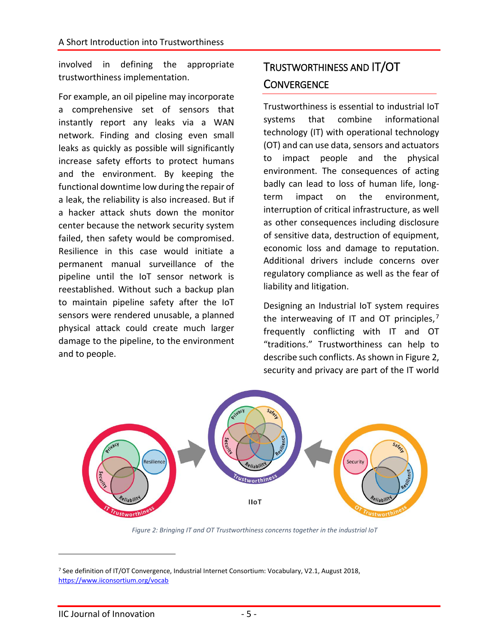involved in defining the appropriate trustworthiness implementation.

For example, an oil pipeline may incorporate a comprehensive set of sensors that instantly report any leaks via a WAN network. Finding and closing even small leaks as quickly as possible will significantly increase safety efforts to protect humans and the environment. By keeping the functional downtime low during the repair of a leak, the reliability is also increased. But if a hacker attack shuts down the monitor center because the network security system failed, then safety would be compromised. Resilience in this case would initiate a permanent manual surveillance of the pipeline until the IoT sensor network is reestablished. Without such a backup plan to maintain pipeline safety after the IoT sensors were rendered unusable, a planned physical attack could create much larger damage to the pipeline, to the environment and to people.

# TRUSTWORTHINESS AND IT/OT **CONVERGENCE**

Trustworthiness is essential to industrial IoT systems that combine informational technology (IT) with operational technology (OT) and can use data, sensors and actuators to impact people and the physical environment. The consequences of acting badly can lead to loss of human life, longterm impact on the environment, interruption of critical infrastructure, as well as other consequences including disclosure of sensitive data, destruction of equipment, economic loss and damage to reputation. Additional drivers include concerns over regulatory compliance as well as the fear of liability and litigation.

Designing an Industrial IoT system requires the interweaving of IT and OT principles,<sup>7</sup> frequently conflicting with IT and OT "traditions." Trustworthiness can help to describe such conflicts. As shown in Figure 2, security and privacy are part of the IT world



*Figure 2: Bringing IT and OT Trustworthiness concerns together in the industrial IoT*

 $\overline{a}$ 

<sup>7</sup> See definition of IT/OT Convergence, Industrial Internet Consortium: Vocabulary, V2.1, August 2018, <https://www.iiconsortium.org/vocab>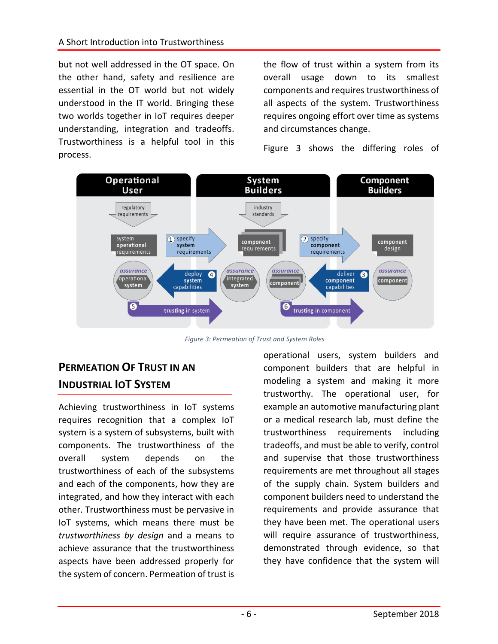but not well addressed in the OT space. On the other hand, safety and resilience are essential in the OT world but not widely understood in the IT world. Bringing these two worlds together in IoT requires deeper understanding, integration and tradeoffs. Trustworthiness is a helpful tool in this process.

the flow of trust within a system from its overall usage down to its smallest components and requires trustworthiness of all aspects of the system. Trustworthiness requires ongoing effort over time as systems and circumstances change.

Figure 3 shows the differing roles of



*Figure 3: Permeation of Trust and System Roles*

## **PERMEATION OF TRUST IN AN INDUSTRIAL IOT SYSTEM**

Achieving trustworthiness in IoT systems requires recognition that a complex IoT system is a system of subsystems, built with components. The trustworthiness of the overall system depends on the trustworthiness of each of the subsystems and each of the components, how they are integrated, and how they interact with each other. Trustworthiness must be pervasive in IoT systems, which means there must be *trustworthiness by design* and a means to achieve assurance that the trustworthiness aspects have been addressed properly for the system of concern. Permeation of trust is operational users, system builders and component builders that are helpful in modeling a system and making it more trustworthy. The operational user, for example an automotive manufacturing plant or a medical research lab, must define the trustworthiness requirements including tradeoffs, and must be able to verify, control and supervise that those trustworthiness requirements are met throughout all stages of the supply chain. System builders and component builders need to understand the requirements and provide assurance that they have been met. The operational users will require assurance of trustworthiness, demonstrated through evidence, so that they have confidence that the system will